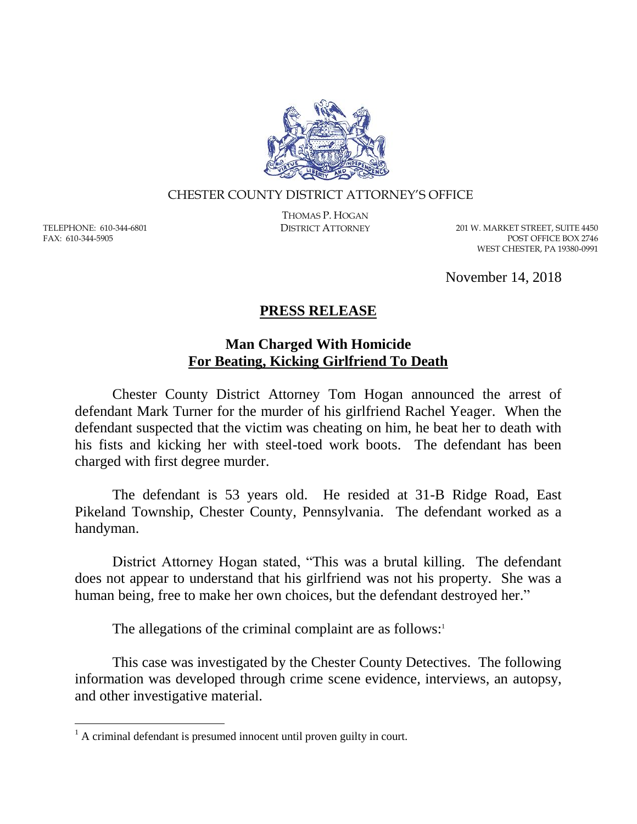

## CHESTER COUNTY DISTRICT ATTORNEY'S OFFICE

TELEPHONE: 610-344-6801 FAX: 610-344-5905

 $\overline{a}$ 

THOMAS P. HOGAN

DISTRICT ATTORNEY 201 W. MARKET STREET, SUITE 4450 POST OFFICE BOX 2746 WEST CHESTER, PA 19380-0991

November 14, 2018

## **PRESS RELEASE**

## **Man Charged With Homicide For Beating, Kicking Girlfriend To Death**

Chester County District Attorney Tom Hogan announced the arrest of defendant Mark Turner for the murder of his girlfriend Rachel Yeager. When the defendant suspected that the victim was cheating on him, he beat her to death with his fists and kicking her with steel-toed work boots. The defendant has been charged with first degree murder.

The defendant is 53 years old. He resided at 31-B Ridge Road, East Pikeland Township, Chester County, Pennsylvania. The defendant worked as a handyman.

District Attorney Hogan stated, "This was a brutal killing. The defendant does not appear to understand that his girlfriend was not his property. She was a human being, free to make her own choices, but the defendant destroyed her."

The allegations of the criminal complaint are as follows: $\cdot$ 

This case was investigated by the Chester County Detectives. The following information was developed through crime scene evidence, interviews, an autopsy, and other investigative material.

 $<sup>1</sup>$  A criminal defendant is presumed innocent until proven guilty in court.</sup>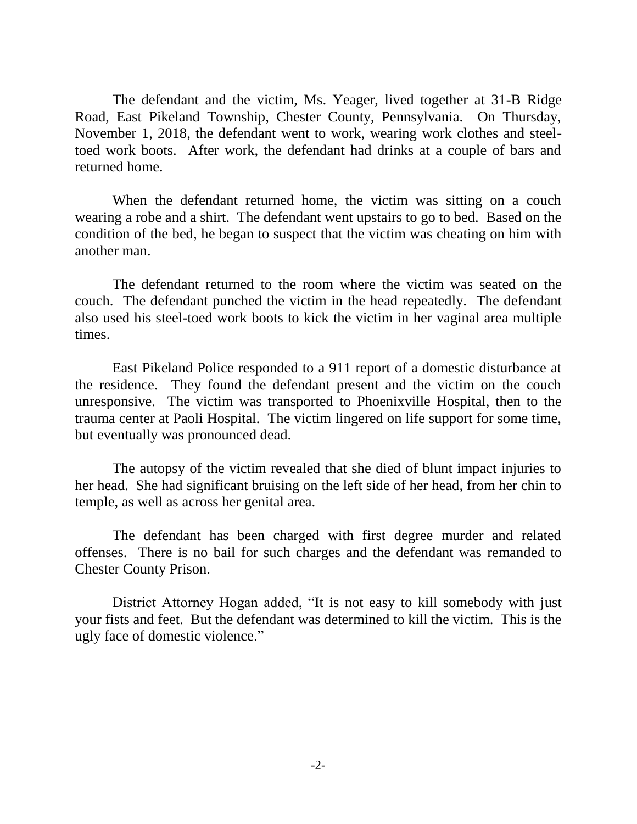The defendant and the victim, Ms. Yeager, lived together at 31-B Ridge Road, East Pikeland Township, Chester County, Pennsylvania. On Thursday, November 1, 2018, the defendant went to work, wearing work clothes and steeltoed work boots. After work, the defendant had drinks at a couple of bars and returned home.

When the defendant returned home, the victim was sitting on a couch wearing a robe and a shirt. The defendant went upstairs to go to bed. Based on the condition of the bed, he began to suspect that the victim was cheating on him with another man.

The defendant returned to the room where the victim was seated on the couch. The defendant punched the victim in the head repeatedly. The defendant also used his steel-toed work boots to kick the victim in her vaginal area multiple times.

East Pikeland Police responded to a 911 report of a domestic disturbance at the residence. They found the defendant present and the victim on the couch unresponsive. The victim was transported to Phoenixville Hospital, then to the trauma center at Paoli Hospital. The victim lingered on life support for some time, but eventually was pronounced dead.

The autopsy of the victim revealed that she died of blunt impact injuries to her head. She had significant bruising on the left side of her head, from her chin to temple, as well as across her genital area.

The defendant has been charged with first degree murder and related offenses. There is no bail for such charges and the defendant was remanded to Chester County Prison.

District Attorney Hogan added, "It is not easy to kill somebody with just your fists and feet. But the defendant was determined to kill the victim. This is the ugly face of domestic violence."